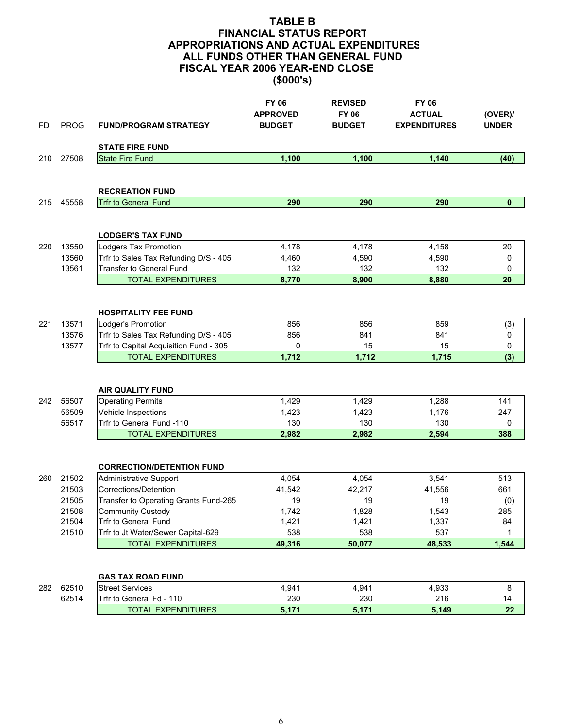| FD  | <b>PROG</b>             | <b>FUND/PROGRAM STRATEGY</b>                                                                            | <b>FY 06</b><br><b>APPROVED</b><br><b>BUDGET</b> | <b>REVISED</b><br><b>FY 06</b><br><b>BUDGET</b> | <b>FY 06</b><br><b>ACTUAL</b><br><b>EXPENDITURES</b> | (OVER)<br><b>UNDER</b> |
|-----|-------------------------|---------------------------------------------------------------------------------------------------------|--------------------------------------------------|-------------------------------------------------|------------------------------------------------------|------------------------|
|     |                         | <b>STATE FIRE FUND</b>                                                                                  |                                                  |                                                 |                                                      |                        |
| 210 | 27508                   | <b>State Fire Fund</b>                                                                                  | 1,100                                            | 1,100                                           | 1,140                                                | (40)                   |
|     |                         | <b>RECREATION FUND</b>                                                                                  |                                                  |                                                 |                                                      |                        |
| 215 | 45558                   | <b>Trfr to General Fund</b>                                                                             | 290                                              | 290                                             | 290                                                  | $\mathbf 0$            |
| 220 | 13550                   | <b>LODGER'S TAX FUND</b><br>Lodgers Tax Promotion                                                       | 4,178                                            | 4,178                                           | 4,158                                                | 20                     |
|     | 13560                   | Trfr to Sales Tax Refunding D/S - 405                                                                   | 4,460                                            | 4,590                                           | 4,590                                                | 0                      |
|     | 13561                   | <b>Transfer to General Fund</b>                                                                         | 132                                              | 132                                             | 132                                                  | 0                      |
|     |                         | <b>TOTAL EXPENDITURES</b>                                                                               | 8,770                                            | 8,900                                           | 8,880                                                | 20                     |
| 221 | 13571                   | <b>HOSPITALITY FEE FUND</b><br>Lodger's Promotion                                                       | 856                                              | 856                                             | 859                                                  | (3)                    |
|     | 13576                   | Trfr to Sales Tax Refunding D/S - 405                                                                   | 856                                              | 841                                             | 841                                                  | 0                      |
|     | 13577                   | Trfr to Capital Acquisition Fund - 305<br><b>TOTAL EXPENDITURES</b>                                     | 0<br>1,712                                       | 15<br>1,712                                     | 15<br>1,715                                          | 0<br>(3)               |
| 242 | 56507<br>56509<br>56517 | <b>AIR QUALITY FUND</b><br><b>Operating Permits</b><br>Vehicle Inspections<br>Trfr to General Fund -110 | 1,429<br>1,423<br>130                            | 1,429<br>1,423<br>130                           | 1,288<br>1,176<br>130                                | 141<br>247<br>0        |
|     |                         | <b>TOTAL EXPENDITURES</b>                                                                               | 2,982                                            | 2,982                                           | 2,594                                                | 388                    |
|     |                         | <b>CORRECTION/DETENTION FUND</b>                                                                        |                                                  |                                                 |                                                      |                        |
| 260 | 21502                   | <b>Administrative Support</b>                                                                           | 4,054                                            | 4,054                                           | 3,541                                                | 513                    |
|     | 21503                   | Corrections/Detention                                                                                   | 41,542                                           | 42,217                                          | 41,556                                               | 661                    |
|     | 21505                   | Transfer to Operating Grants Fund-265                                                                   | 19                                               | 19                                              | 19                                                   | (0)                    |
|     | 21508<br>21504          | <b>Community Custody</b><br>Trfr to General Fund                                                        | 1,742<br>1,421                                   | 1,828<br>1,421                                  | 1,543                                                | 285                    |
|     | 21510                   | Trfr to Jt Water/Sewer Capital-629                                                                      | 538                                              | 538                                             | 1,337<br>537                                         | 84<br>1                |
|     |                         | <b>TOTAL EXPENDITURES</b>                                                                               | 49,316                                           | 50,077                                          | 48,533                                               | 1,544                  |
|     |                         | <b>GAS TAX ROAD FUND</b>                                                                                |                                                  |                                                 |                                                      |                        |
| 282 | 62510                   | <b>Street Services</b>                                                                                  | 4,941                                            | 4,941                                           | 4,933                                                | 8                      |
|     | 62514                   | Trfr to General Fd - 110                                                                                | 230                                              | 230                                             | 216                                                  | 14                     |
|     |                         | <b>TOTAL EXPENDITURES</b>                                                                               | 5,171                                            | 5,171                                           | 5,149                                                | 22                     |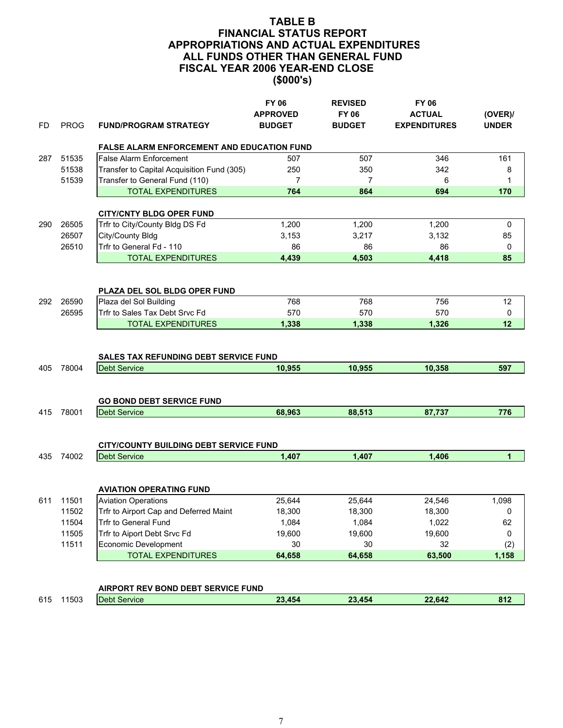| FD  | <b>PROG</b> | <b>FUND/PROGRAM STRATEGY</b>                                        | <b>FY 06</b><br><b>APPROVED</b><br><b>BUDGET</b> | <b>REVISED</b><br><b>FY 06</b><br><b>BUDGET</b> | <b>FY 06</b><br><b>ACTUAL</b><br><b>EXPENDITURES</b> | (OVER)/<br><b>UNDER</b> |
|-----|-------------|---------------------------------------------------------------------|--------------------------------------------------|-------------------------------------------------|------------------------------------------------------|-------------------------|
|     |             | <b>FALSE ALARM ENFORCEMENT AND EDUCATION FUND</b>                   |                                                  |                                                 |                                                      |                         |
| 287 | 51535       | <b>False Alarm Enforcement</b>                                      | 507                                              | 507                                             | 346                                                  | 161                     |
|     | 51538       | Transfer to Capital Acquisition Fund (305)                          | 250                                              | 350                                             | 342                                                  | 8                       |
|     | 51539       | Transfer to General Fund (110)                                      | $\overline{7}$                                   | $\overline{7}$                                  | 6                                                    | 1                       |
|     |             | <b>TOTAL EXPENDITURES</b>                                           | 764                                              | 864                                             | 694                                                  | 170                     |
|     |             | <b>CITY/CNTY BLDG OPER FUND</b>                                     |                                                  |                                                 |                                                      |                         |
| 290 | 26505       | Trfr to City/County Bldg DS Fd                                      | 1,200                                            | 1,200                                           | 1,200                                                | 0                       |
|     | 26507       | City/County Bldg                                                    | 3,153                                            | 3,217                                           | 3,132                                                | 85                      |
|     | 26510       | Trfr to General Fd - 110                                            | 86                                               | 86                                              | 86                                                   | 0                       |
|     |             | <b>TOTAL EXPENDITURES</b>                                           | 4,439                                            | 4,503                                           | 4,418                                                | 85                      |
|     |             |                                                                     |                                                  |                                                 |                                                      |                         |
|     |             | PLAZA DEL SOL BLDG OPER FUND                                        |                                                  |                                                 |                                                      |                         |
| 292 | 26590       | Plaza del Sol Building                                              | 768                                              | 768                                             | 756                                                  | 12                      |
|     | 26595       | Trfr to Sales Tax Debt Srvc Fd                                      | 570                                              | 570                                             | 570                                                  | 0                       |
|     |             | <b>TOTAL EXPENDITURES</b>                                           | 1,338                                            | 1,338                                           | 1,326                                                | 12                      |
| 405 | 78004       | <b>SALES TAX REFUNDING DEBT SERVICE FUND</b><br><b>Debt Service</b> | 10,955                                           | 10,955                                          | 10,358                                               | 597                     |
|     |             | <b>GO BOND DEBT SERVICE FUND</b>                                    |                                                  |                                                 |                                                      |                         |
| 415 | 78001       | <b>Debt Service</b>                                                 | 68,963                                           | 88,513                                          | 87,737                                               | 776                     |
|     |             | <b>CITY/COUNTY BUILDING DEBT SERVICE FUND</b>                       |                                                  |                                                 |                                                      |                         |
| 435 | 74002       | <b>Debt Service</b>                                                 | 1,407                                            | 1,407                                           | 1,406                                                | $\mathbf{1}$            |
|     |             | <b>AVIATION OPERATING FUND</b>                                      |                                                  |                                                 |                                                      |                         |
| 611 | 11501       | <b>Aviation Operations</b>                                          | 25,644                                           | 25.644                                          | 24,546                                               | 1,098                   |
|     | 11502       | Trfr to Airport Cap and Deferred Maint                              | 18,300                                           | 18,300                                          | 18,300                                               | 0                       |
|     | 11504       | Trfr to General Fund                                                | 1,084                                            | 1,084                                           | 1,022                                                | 62                      |
|     | 11505       | Trfr to Aiport Debt Srvc Fd                                         | 19,600                                           | 19,600                                          | 19,600                                               | 0                       |
|     | 11511       | Economic Development                                                | 30                                               | 30                                              | 32                                                   | (2)                     |
|     |             | <b>TOTAL EXPENDITURES</b>                                           | 64,658                                           | 64,658                                          | 63,500                                               | 1,158                   |
|     |             | AIRPORT REV ROND DERT SERVICE FUND.                                 |                                                  |                                                 |                                                      |                         |

|     |      | AINFUNT NEV DUND DEDT SENVIGET UND |           |        |                         |
|-----|------|------------------------------------|-----------|--------|-------------------------|
| 615 | 1503 | Service<br>Jebt                    | 22<br>A5A | 22.642 | 04 <sup>7</sup><br>O 17 |
|     |      |                                    |           |        |                         |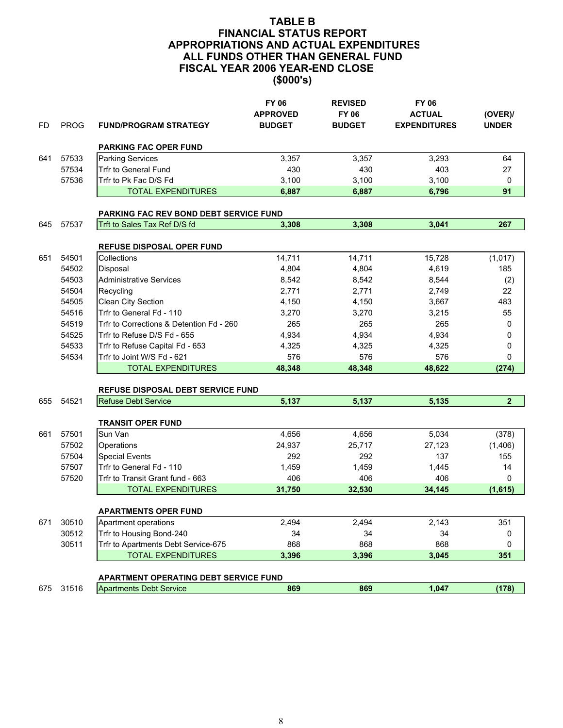| FD  | <b>PROG</b> | <b>FUND/PROGRAM STRATEGY</b>                                            | <b>FY 06</b><br><b>APPROVED</b><br><b>BUDGET</b> | <b>REVISED</b><br><b>FY 06</b><br><b>BUDGET</b> | <b>FY 06</b><br><b>ACTUAL</b><br><b>EXPENDITURES</b> | (OVER)<br><b>UNDER</b> |
|-----|-------------|-------------------------------------------------------------------------|--------------------------------------------------|-------------------------------------------------|------------------------------------------------------|------------------------|
|     |             | <b>PARKING FAC OPER FUND</b>                                            |                                                  |                                                 |                                                      |                        |
| 641 | 57533       | <b>Parking Services</b>                                                 | 3,357                                            | 3,357                                           | 3,293                                                | 64                     |
|     | 57534       | <b>Trfr to General Fund</b>                                             | 430                                              | 430                                             | 403                                                  | 27                     |
|     | 57536       | Trfr to Pk Fac D/S Fd                                                   | 3,100                                            | 3,100                                           | 3,100                                                | 0                      |
|     |             | <b>TOTAL EXPENDITURES</b>                                               | 6,887                                            | 6,887                                           | 6,796                                                | 91                     |
|     |             | PARKING FAC REV BOND DEBT SERVICE FUND                                  |                                                  |                                                 |                                                      |                        |
| 645 | 57537       | Trft to Sales Tax Ref D/S fd                                            | 3,308                                            | 3,308                                           | 3,041                                                | 267                    |
|     |             |                                                                         |                                                  |                                                 |                                                      |                        |
|     |             | <b>REFUSE DISPOSAL OPER FUND</b>                                        |                                                  |                                                 |                                                      |                        |
| 651 | 54501       | Collections                                                             | 14,711                                           | 14,711                                          | 15,728                                               | (1,017)                |
|     | 54502       | Disposal                                                                | 4,804                                            | 4,804                                           | 4,619                                                | 185                    |
|     | 54503       | <b>Administrative Services</b>                                          | 8,542                                            | 8,542                                           | 8,544                                                | (2)                    |
|     | 54504       | Recycling                                                               | 2,771                                            | 2,771                                           | 2,749                                                | 22                     |
|     | 54505       | Clean City Section                                                      | 4,150                                            | 4,150                                           | 3,667                                                | 483                    |
|     | 54516       | Trfr to General Fd - 110                                                | 3,270                                            | 3,270                                           | 3,215                                                | 55                     |
|     | 54519       | Trfr to Corrections & Detention Fd - 260                                | 265                                              | 265                                             | 265                                                  | 0                      |
|     | 54525       | Trfr to Refuse D/S Fd - 655                                             | 4,934                                            | 4,934                                           | 4,934                                                | 0                      |
|     | 54533       | Trfr to Refuse Capital Fd - 653                                         | 4,325                                            | 4,325                                           | 4,325                                                | 0                      |
|     | 54534       | Trfr to Joint W/S Fd - 621                                              | 576                                              | 576                                             | 576                                                  | 0                      |
|     |             | <b>TOTAL EXPENDITURES</b>                                               | 48,348                                           | 48,348                                          | 48,622                                               | (274)                  |
|     |             | REFUSE DISPOSAL DEBT SERVICE FUND                                       |                                                  |                                                 |                                                      |                        |
| 655 | 54521       | <b>Refuse Debt Service</b>                                              | 5,137                                            | 5,137                                           | 5,135                                                | $\overline{2}$         |
|     |             | <b>TRANSIT OPER FUND</b>                                                |                                                  |                                                 |                                                      |                        |
| 661 | 57501       | Sun Van                                                                 | 4,656                                            | 4,656                                           | 5,034                                                | (378)                  |
|     | 57502       | Operations                                                              | 24,937                                           | 25,717                                          | 27,123                                               | (1,406)                |
|     | 57504       | <b>Special Events</b>                                                   | 292                                              | 292                                             | 137                                                  | 155                    |
|     | 57507       | Trfr to General Fd - 110                                                | 1,459                                            | 1,459                                           | 1,445                                                | 14                     |
|     | 57520       | Trfr to Transit Grant fund - 663                                        | 406                                              | 406                                             | 406                                                  | $\Omega$               |
|     |             | <b>TOTAL EXPENDITURES</b>                                               | 31,750                                           | 32,530                                          | 34,145                                               | (1,615)                |
|     |             |                                                                         |                                                  |                                                 |                                                      |                        |
|     |             | <b>APARTMENTS OPER FUND</b>                                             |                                                  |                                                 |                                                      |                        |
| 671 | 30510       | Apartment operations                                                    | 2,494                                            | 2,494                                           | 2,143                                                | 351                    |
|     | 30512       | Trfr to Housing Bond-240                                                | 34                                               | 34                                              | 34                                                   | 0                      |
|     | 30511       | Trfr to Apartments Debt Service-675                                     | 868                                              | 868                                             | 868                                                  | 0                      |
|     |             | <b>TOTAL EXPENDITURES</b>                                               | 3,396                                            | 3,396                                           | 3,045                                                | 351                    |
|     |             |                                                                         |                                                  |                                                 |                                                      |                        |
| 675 | 31516       | APARTMENT OPERATING DEBT SERVICE FUND<br><b>Apartments Debt Service</b> | 869                                              | 869                                             | 1,047                                                | (178)                  |
|     |             |                                                                         |                                                  |                                                 |                                                      |                        |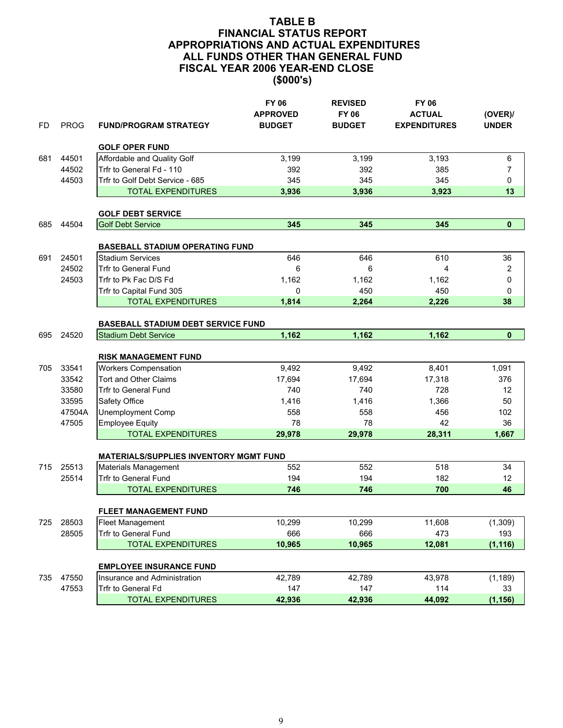| FD  | <b>PROG</b> | <b>FUND/PROGRAM STRATEGY</b>                  | <b>FY 06</b><br><b>APPROVED</b><br><b>BUDGET</b> | <b>REVISED</b><br><b>FY 06</b><br><b>BUDGET</b> | <b>FY 06</b><br><b>ACTUAL</b><br><b>EXPENDITURES</b> | (OVER)<br><b>UNDER</b> |
|-----|-------------|-----------------------------------------------|--------------------------------------------------|-------------------------------------------------|------------------------------------------------------|------------------------|
|     |             | <b>GOLF OPER FUND</b>                         |                                                  |                                                 |                                                      |                        |
| 681 | 44501       | Affordable and Quality Golf                   | 3,199                                            | 3,199                                           | 3,193                                                | 6                      |
|     | 44502       | Trfr to General Fd - 110                      | 392                                              | 392                                             | 385                                                  | $\overline{7}$         |
|     | 44503       | Trfr to Golf Debt Service - 685               | 345                                              | 345                                             | 345                                                  | 0                      |
|     |             | <b>TOTAL EXPENDITURES</b>                     | 3,936                                            | 3,936                                           | 3,923                                                | 13                     |
|     |             | <b>GOLF DEBT SERVICE</b>                      |                                                  |                                                 |                                                      |                        |
| 685 | 44504       | <b>Golf Debt Service</b>                      | 345                                              | 345                                             | 345                                                  | $\mathbf{0}$           |
|     |             |                                               |                                                  |                                                 |                                                      |                        |
|     |             | <b>BASEBALL STADIUM OPERATING FUND</b>        |                                                  |                                                 |                                                      |                        |
| 691 | 24501       | <b>Stadium Services</b>                       | 646                                              | 646                                             | 610                                                  | 36                     |
|     | 24502       | <b>Trfr to General Fund</b>                   | 6                                                | 6                                               | 4                                                    | 2                      |
|     | 24503       | Trfr to Pk Fac D/S Fd                         | 1,162                                            | 1,162                                           | 1,162                                                | 0                      |
|     |             | Trfr to Capital Fund 305                      | 0                                                | 450                                             | 450                                                  | 0                      |
|     |             | <b>TOTAL EXPENDITURES</b>                     | 1,814                                            | 2,264                                           | 2,226                                                | 38                     |
|     |             | <b>BASEBALL STADIUM DEBT SERVICE FUND</b>     |                                                  |                                                 |                                                      |                        |
| 695 | 24520       | <b>Stadium Debt Service</b>                   | 1,162                                            | 1,162                                           | 1,162                                                | $\mathbf{0}$           |
|     |             |                                               |                                                  |                                                 |                                                      |                        |
|     |             | <b>RISK MANAGEMENT FUND</b>                   |                                                  |                                                 |                                                      |                        |
| 705 | 33541       | <b>Workers Compensation</b>                   | 9,492                                            | 9,492                                           | 8,401                                                | 1,091                  |
|     | 33542       | <b>Tort and Other Claims</b>                  | 17,694                                           | 17,694                                          | 17,318                                               | 376                    |
|     | 33580       | <b>Trfr to General Fund</b>                   | 740                                              | 740                                             | 728                                                  | 12                     |
|     | 33595       | Safety Office                                 | 1,416                                            | 1,416                                           | 1,366                                                | 50                     |
|     | 47504A      | <b>Unemployment Comp</b>                      | 558                                              | 558                                             | 456                                                  | 102                    |
|     | 47505       | <b>Employee Equity</b>                        | 78                                               | 78                                              | 42                                                   | 36                     |
|     |             | <b>TOTAL EXPENDITURES</b>                     | 29,978                                           | 29,978                                          | 28,311                                               | 1,667                  |
|     |             | <b>MATERIALS/SUPPLIES INVENTORY MGMT FUND</b> |                                                  |                                                 |                                                      |                        |
| 715 | 25513       | Materials Management                          | 552                                              | 552                                             | 518                                                  | 34                     |
|     | 25514       | <b>Trfr to General Fund</b>                   | 194                                              | 194                                             | 182                                                  | 12                     |
|     |             | <b>TOTAL EXPENDITURES</b>                     | 746                                              | 746                                             | 700                                                  | 46                     |
|     |             |                                               |                                                  |                                                 |                                                      |                        |
|     |             | FLEET MANAGEMENT FUND                         |                                                  |                                                 |                                                      |                        |
| 725 | 28503       | <b>Fleet Management</b>                       | 10,299                                           | 10,299                                          | 11,608                                               | (1,309)                |
|     | 28505       | Trfr to General Fund                          | 666                                              | 666                                             | 473                                                  | 193                    |
|     |             | <b>TOTAL EXPENDITURES</b>                     | 10,965                                           | 10,965                                          | 12,081                                               | (1, 116)               |
|     |             | <b>EMPLOYEE INSURANCE FUND</b>                |                                                  |                                                 |                                                      |                        |
| 735 | 47550       | Insurance and Administration                  | 42,789                                           | 42,789                                          | 43,978                                               | (1, 189)               |
|     | 47553       | Trfr to General Fd                            | 147                                              | 147                                             | 114                                                  | 33                     |
|     |             | <b>TOTAL EXPENDITURES</b>                     | 42,936                                           | 42,936                                          | 44,092                                               | (1, 156)               |